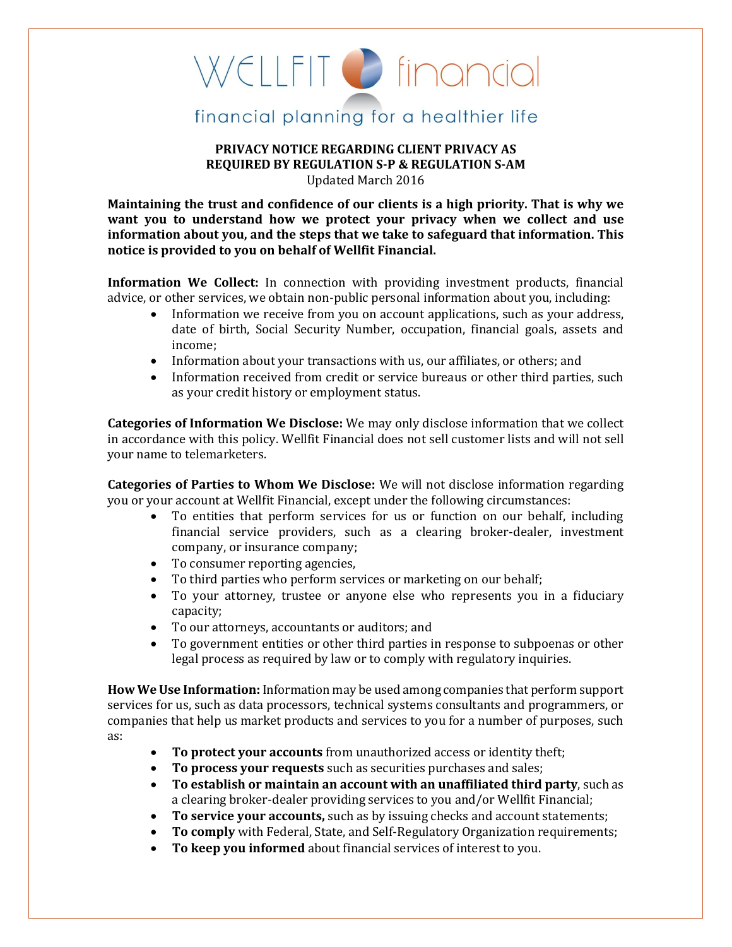## WELLFIT C financial

## financial planning for a healthier life

## **PRIVACY NOTICE REGARDING CLIENT PRIVACY AS REQUIRED BY REGULATION S-P & REGULATION S-AM** Updated March 2016

**Maintaining the trust and confidence of our clients is a high priority. That is why we want you to understand how we protect your privacy when we collect and use information about you, and the steps that we take to safeguard that information. This notice is provided to you on behalf of Wellfit Financial.** 

**Information We Collect:** In connection with providing investment products, financial advice, or other services, we obtain non-public personal information about you, including:

- Information we receive from you on account applications, such as your address, date of birth, Social Security Number, occupation, financial goals, assets and income;
- Information about your transactions with us, our affiliates, or others; and
- Information received from credit or service bureaus or other third parties, such as your credit history or employment status.

**Categories of Information We Disclose:** We may only disclose information that we collect in accordance with this policy. Wellfit Financial does not sell customer lists and will not sell your name to telemarketers.

**Categories of Parties to Whom We Disclose:** We will not disclose information regarding you or your account at Wellfit Financial, except under the following circumstances:

- To entities that perform services for us or function on our behalf, including financial service providers, such as a clearing broker-dealer, investment company, or insurance company;
- To consumer reporting agencies,
- To third parties who perform services or marketing on our behalf;
- To your attorney, trustee or anyone else who represents you in a fiduciary capacity;
- To our attorneys, accountants or auditors; and
- To government entities or other third parties in response to subpoenas or other legal process as required by law or to comply with regulatory inquiries.

**How We Use Information:** Information may be used among companies that perform support services for us, such as data processors, technical systems consultants and programmers, or companies that help us market products and services to you for a number of purposes, such as:

- **To protect your accounts** from unauthorized access or identity theft;
- **To process your requests** such as securities purchases and sales;
- **To establish or maintain an account with an unaffiliated third party**, such as a clearing broker-dealer providing services to you and/or Wellfit Financial;
- To service your accounts, such as by issuing checks and account statements;
- **To comply** with Federal, State, and Self-Regulatory Organization requirements;
- **To keep you informed** about financial services of interest to you.